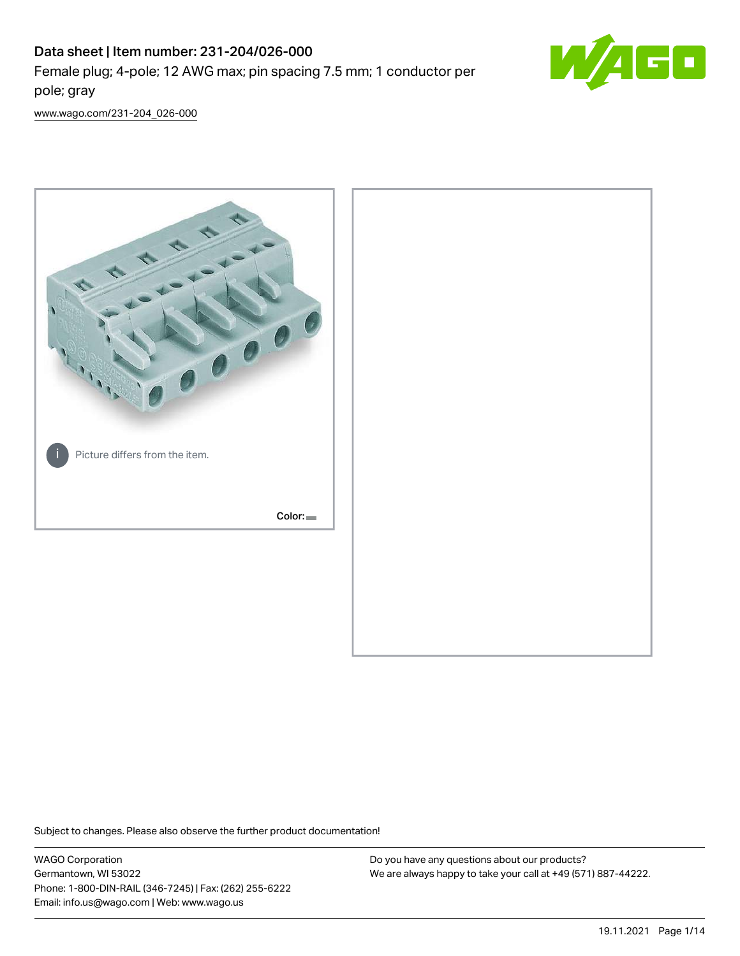# Data sheet | Item number: 231-204/026-000 Female plug; 4-pole; 12 AWG max; pin spacing 7.5 mm; 1 conductor per pole; gray



[www.wago.com/231-204\\_026-000](http://www.wago.com/231-204_026-000)



Subject to changes. Please also observe the further product documentation!

WAGO Corporation Germantown, WI 53022 Phone: 1-800-DIN-RAIL (346-7245) | Fax: (262) 255-6222 Email: info.us@wago.com | Web: www.wago.us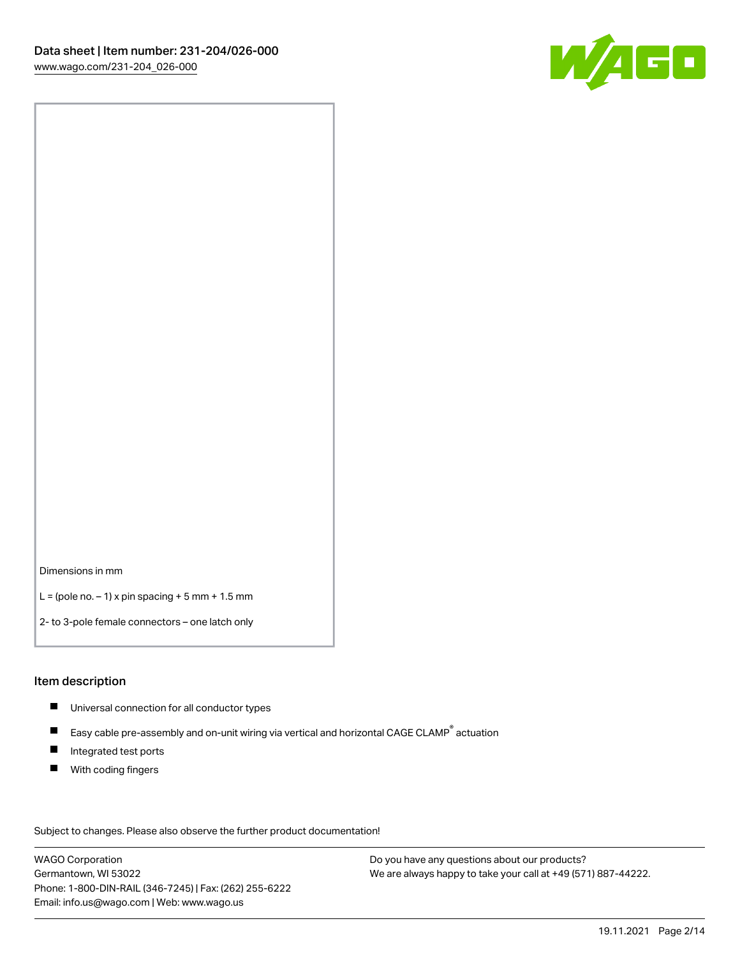

Dimensions in mm

 $L =$  (pole no.  $-1$ ) x pin spacing  $+5$  mm  $+ 1.5$  mm

2- to 3-pole female connectors – one latch only

#### Item description

- **Universal connection for all conductor types**
- Easy cable pre-assembly and on-unit wiring via vertical and horizontal CAGE CLAMP<sup>®</sup> actuation  $\blacksquare$
- $\blacksquare$ Integrated test ports
- $\blacksquare$ With coding fingers

Subject to changes. Please also observe the further product documentation! Data

WAGO Corporation Germantown, WI 53022 Phone: 1-800-DIN-RAIL (346-7245) | Fax: (262) 255-6222 Email: info.us@wago.com | Web: www.wago.us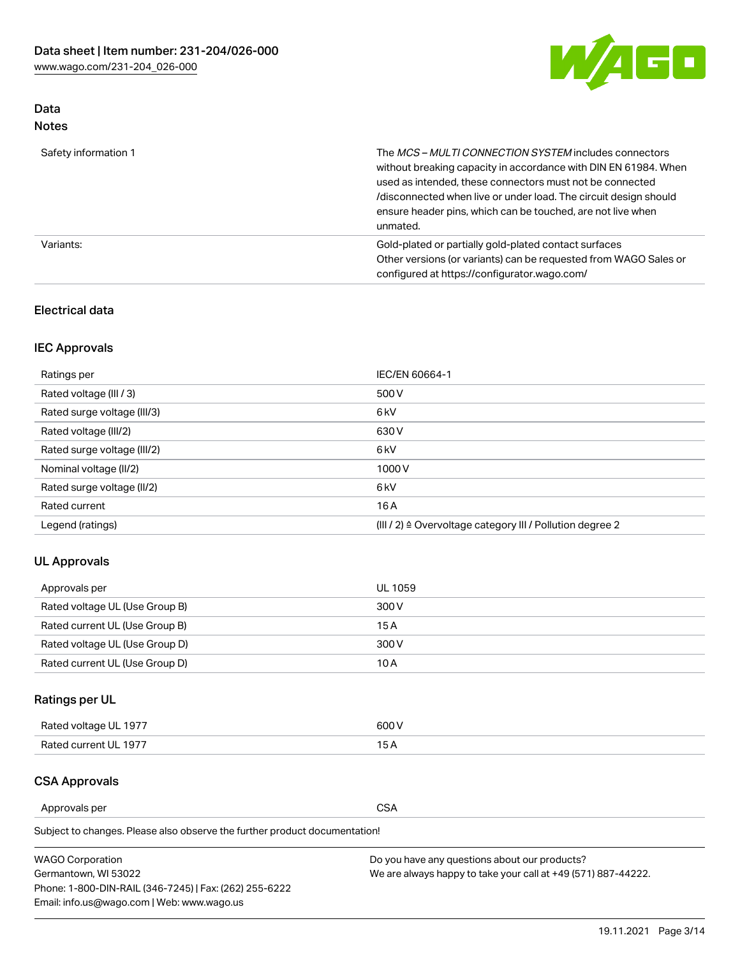

### Data Notes

| Safety information 1 | The MCS-MULTI CONNECTION SYSTEM includes connectors<br>without breaking capacity in accordance with DIN EN 61984. When<br>used as intended, these connectors must not be connected<br>/disconnected when live or under load. The circuit design should<br>ensure header pins, which can be touched, are not live when<br>unmated. |
|----------------------|-----------------------------------------------------------------------------------------------------------------------------------------------------------------------------------------------------------------------------------------------------------------------------------------------------------------------------------|
| Variants:            | Gold-plated or partially gold-plated contact surfaces<br>Other versions (or variants) can be requested from WAGO Sales or<br>configured at https://configurator.wago.com/                                                                                                                                                         |

### Electrical data

### IEC Approvals

| Ratings per                 | IEC/EN 60664-1                                                        |
|-----------------------------|-----------------------------------------------------------------------|
| Rated voltage (III / 3)     | 500 V                                                                 |
| Rated surge voltage (III/3) | 6 <sub>kV</sub>                                                       |
| Rated voltage (III/2)       | 630 V                                                                 |
| Rated surge voltage (III/2) | 6 <sub>kV</sub>                                                       |
| Nominal voltage (II/2)      | 1000V                                                                 |
| Rated surge voltage (II/2)  | 6 <sub>kV</sub>                                                       |
| Rated current               | 16 A                                                                  |
| Legend (ratings)            | $(III / 2)$ $\triangle$ Overvoltage category III / Pollution degree 2 |

### UL Approvals

| Approvals per                  | UL 1059 |
|--------------------------------|---------|
| Rated voltage UL (Use Group B) | 300 V   |
| Rated current UL (Use Group B) | 15 A    |
| Rated voltage UL (Use Group D) | 300 V   |
| Rated current UL (Use Group D) | 10 A    |

# Ratings per UL

| Rated voltage UL 1977 | 300 V |
|-----------------------|-------|
| Rated current UL 1977 |       |

### CSA Approvals

Approvals per CSA

Subject to changes. Please also observe the further product documentation!

| <b>WAGO Corporation</b>                                | Do you have any questions about our products?                 |
|--------------------------------------------------------|---------------------------------------------------------------|
| Germantown, WI 53022                                   | We are always happy to take your call at +49 (571) 887-44222. |
| Phone: 1-800-DIN-RAIL (346-7245)   Fax: (262) 255-6222 |                                                               |
| Email: info.us@wago.com   Web: www.wago.us             |                                                               |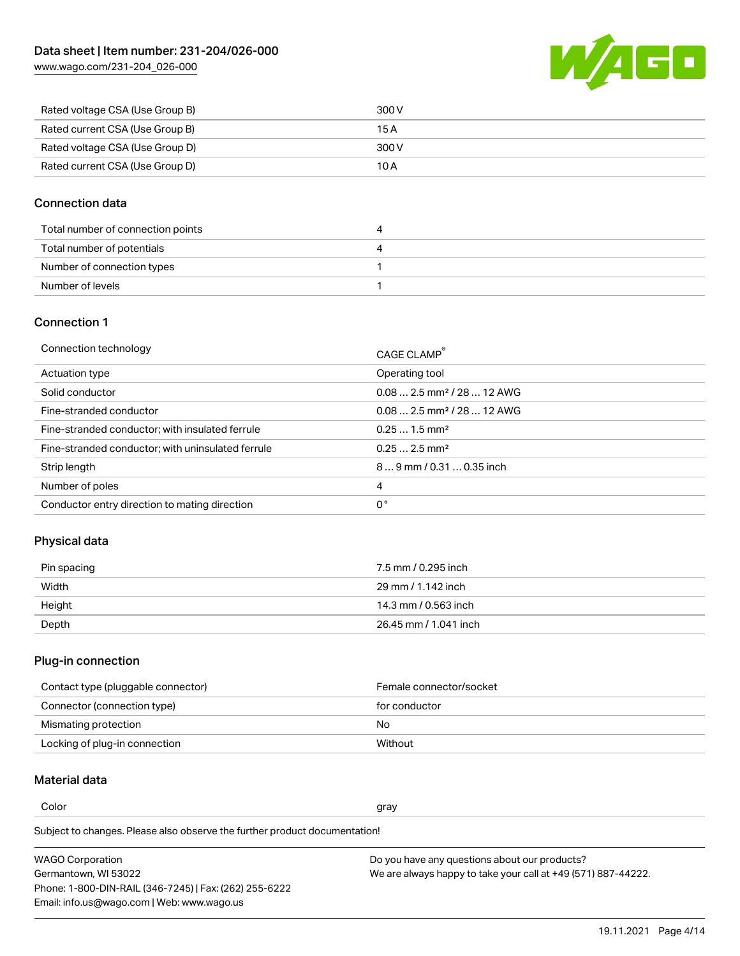

| Rated voltage CSA (Use Group B) | 300 V |
|---------------------------------|-------|
| Rated current CSA (Use Group B) | 15 A  |
| Rated voltage CSA (Use Group D) | 300 V |
| Rated current CSA (Use Group D) | 10 A  |

### Connection data

| Total number of connection points | 4 |
|-----------------------------------|---|
| Total number of potentials        | 4 |
| Number of connection types        |   |
| Number of levels                  |   |

### Connection 1

| Connection technology                             | CAGE CLAMP <sup>®</sup>                 |
|---------------------------------------------------|-----------------------------------------|
| Actuation type                                    | Operating tool                          |
| Solid conductor                                   | $0.082.5$ mm <sup>2</sup> / 28  12 AWG  |
| Fine-stranded conductor                           | $0.08$ 2.5 mm <sup>2</sup> / 28  12 AWG |
| Fine-stranded conductor; with insulated ferrule   | $0.251.5$ mm <sup>2</sup>               |
| Fine-stranded conductor; with uninsulated ferrule | $0.252.5$ mm <sup>2</sup>               |
| Strip length                                      | 89 mm / 0.31  0.35 inch                 |
| Number of poles                                   | 4                                       |
| Conductor entry direction to mating direction     | 0°                                      |

### Physical data

| Pin spacing | 7.5 mm / 0.295 inch   |
|-------------|-----------------------|
| Width       | 29 mm / 1.142 inch    |
| Height      | 14.3 mm / 0.563 inch  |
| Depth       | 26.45 mm / 1.041 inch |

# Plug-in connection

| Contact type (pluggable connector) | Female connector/socket |
|------------------------------------|-------------------------|
| Connector (connection type)        | for conductor           |
| Mismating protection               | No.                     |
| Locking of plug-in connection      | Without                 |

### Material data

Color and the color of the color of the color of the color of the color of the color of the color of the color

Subject to changes. Please also observe the further product documentation! Material group I

| <b>WAGO Corporation</b>                                | Do you have any questions about our products?                 |
|--------------------------------------------------------|---------------------------------------------------------------|
| Germantown, WI 53022                                   | We are always happy to take your call at +49 (571) 887-44222. |
| Phone: 1-800-DIN-RAIL (346-7245)   Fax: (262) 255-6222 |                                                               |
| Email: info.us@wago.com   Web: www.wago.us             |                                                               |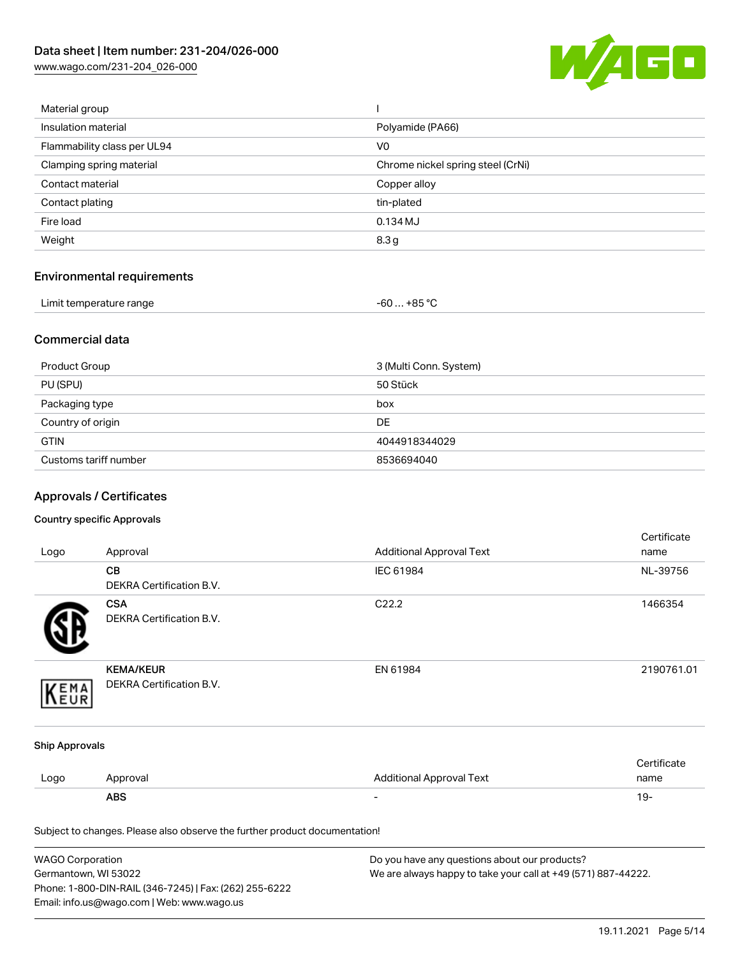

| Material group              |                                   |
|-----------------------------|-----------------------------------|
| Insulation material         | Polyamide (PA66)                  |
| Flammability class per UL94 | V <sub>0</sub>                    |
| Clamping spring material    | Chrome nickel spring steel (CrNi) |
| Contact material            | Copper alloy                      |
| Contact plating             | tin-plated                        |
| Fire load                   | $0.134$ MJ                        |
| Weight                      | 8.3 <sub>g</sub>                  |
|                             |                                   |

# Environmental requirements

| Limit temperature range | $-60+85 °C$ |
|-------------------------|-------------|
|-------------------------|-------------|

### Commercial data

| Product Group         | 3 (Multi Conn. System) |
|-----------------------|------------------------|
| PU (SPU)              | 50 Stück               |
| Packaging type        | box                    |
| Country of origin     | <b>DE</b>              |
| <b>GTIN</b>           | 4044918344029          |
| Customs tariff number | 8536694040             |

# Approvals / Certificates

#### Country specific Approvals

| Logo                  | Approval                                                                   | <b>Additional Approval Text</b> | Certificate<br>name |
|-----------------------|----------------------------------------------------------------------------|---------------------------------|---------------------|
|                       | CВ<br>DEKRA Certification B.V.                                             | IEC 61984                       | NL-39756            |
|                       | <b>CSA</b><br>DEKRA Certification B.V.                                     | C22.2                           | 1466354             |
| EMA<br>EUR            | <b>KEMA/KEUR</b><br>DEKRA Certification B.V.                               | EN 61984                        | 2190761.01          |
| <b>Ship Approvals</b> |                                                                            |                                 |                     |
| Logo                  | Approval                                                                   | <b>Additional Approval Text</b> | Certificate<br>name |
|                       | <b>ABS</b>                                                                 | $\overline{\phantom{a}}$        | $19 -$              |
|                       | Subject to changes. Please also observe the further product documentation! |                                 |                     |

| <b>WAGO Corporation</b>                                | Do you have any questions about our products?                 |
|--------------------------------------------------------|---------------------------------------------------------------|
| Germantown, WI 53022                                   | We are always happy to take your call at +49 (571) 887-44222. |
| Phone: 1-800-DIN-RAIL (346-7245)   Fax: (262) 255-6222 |                                                               |
| Email: info.us@wago.com   Web: www.wago.us             |                                                               |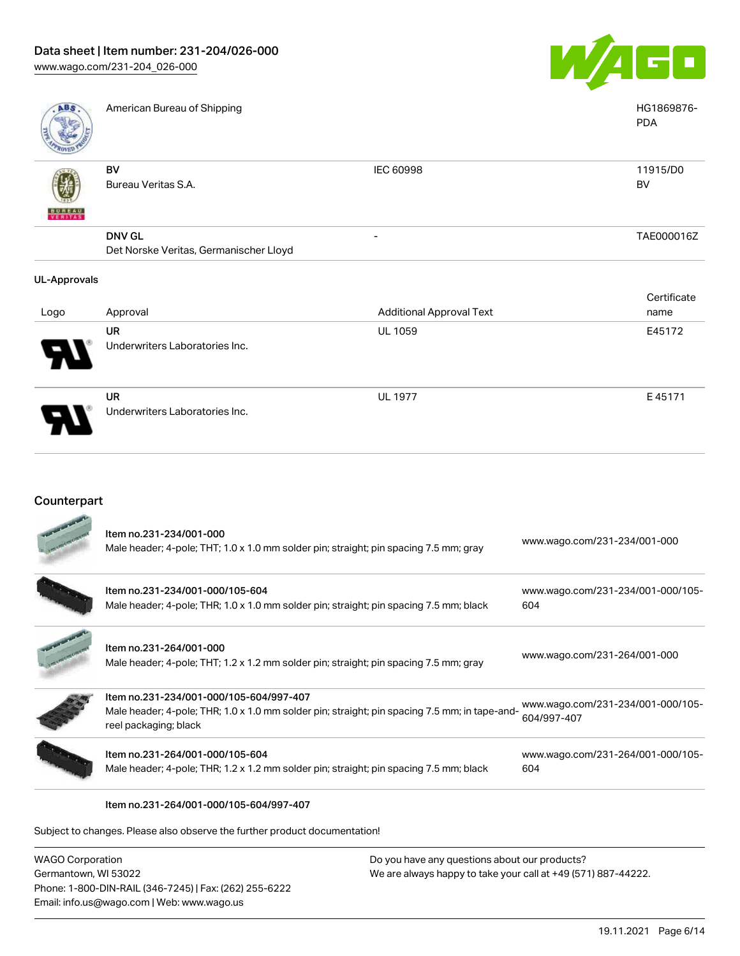Underwriters Laboratories Inc.



| <b>ABS</b>          | American Bureau of Shipping                             |                                 | HG1869876-<br><b>PDA</b> |
|---------------------|---------------------------------------------------------|---------------------------------|--------------------------|
| <b>BUNEAU</b>       | BV<br>Bureau Veritas S.A.                               | IEC 60998                       | 11915/D0<br><b>BV</b>    |
|                     | <b>DNV GL</b><br>Det Norske Veritas, Germanischer Lloyd | -                               | TAE000016Z               |
| <b>UL-Approvals</b> |                                                         |                                 |                          |
|                     |                                                         |                                 | Certificate              |
| Logo                | Approval                                                | <b>Additional Approval Text</b> | name                     |
|                     | <b>UR</b>                                               | <b>UL 1059</b>                  | E45172                   |
|                     | Underwriters Laboratories Inc.                          |                                 |                          |
|                     | <b>UR</b>                                               | <b>UL 1977</b>                  | E45171                   |

### Counterpart

| <b>WAGO Corporation</b> |                                                                                                                                                                   | Do you have any questions about our products? |                                                  |
|-------------------------|-------------------------------------------------------------------------------------------------------------------------------------------------------------------|-----------------------------------------------|--------------------------------------------------|
|                         | Subject to changes. Please also observe the further product documentation!                                                                                        |                                               |                                                  |
|                         | ltem no.231-264/001-000/105-604/997-407                                                                                                                           |                                               |                                                  |
|                         | Item no.231-264/001-000/105-604<br>Male header; 4-pole; THR; 1.2 x 1.2 mm solder pin; straight; pin spacing 7.5 mm; black                                         |                                               | www.wago.com/231-264/001-000/105-<br>604         |
|                         | ltem no.231-234/001-000/105-604/997-407<br>Male header; 4-pole; THR; 1.0 x 1.0 mm solder pin; straight; pin spacing 7.5 mm; in tape-and-<br>reel packaging; black |                                               | www.wago.com/231-234/001-000/105-<br>604/997-407 |
|                         | Item no.231-264/001-000<br>Male header; 4-pole; THT; 1.2 x 1.2 mm solder pin; straight; pin spacing 7.5 mm; gray                                                  |                                               | www.wago.com/231-264/001-000                     |
|                         | Item no.231-234/001-000/105-604<br>Male header; 4-pole; THR; 1.0 x 1.0 mm solder pin; straight; pin spacing 7.5 mm; black                                         |                                               | www.wago.com/231-234/001-000/105-<br>604         |
|                         | Item no.231-234/001-000<br>Male header; 4-pole; THT; 1.0 x 1.0 mm solder pin; straight; pin spacing 7.5 mm; gray                                                  |                                               | www.wago.com/231-234/001-000                     |

Germantown, WI 53022 Phone: 1-800-DIN-RAIL (346-7245) | Fax: (262) 255-6222 Email: info.us@wago.com | Web: www.wago.us

We are always happy to take your call at +49 (571) 887-44222.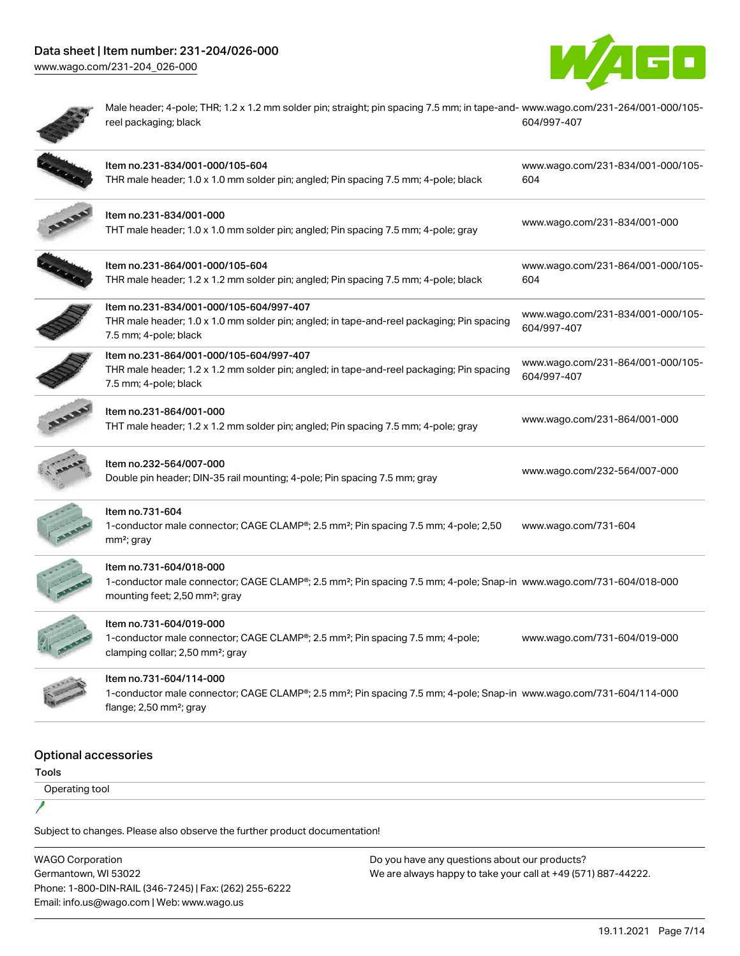### Data sheet | Item number: 231-204/026-000 [www.wago.com/231-204\\_026-000](http://www.wago.com/231-204_026-000)





1

Male header; 4-pole; THR; 1.2 x 1.2 mm solder pin; straight; pin spacing 7.5 mm; in tape-and-[www.wago.com/231-264/001-000/105](https://www.wago.com/231-264/001-000/105-604/997-407) reel packaging; black [604/997-407](https://www.wago.com/231-264/001-000/105-604/997-407)

|                                      | Item no.231-834/001-000/105-604<br>THR male header; 1.0 x 1.0 mm solder pin; angled; Pin spacing 7.5 mm; 4-pole; black                                                                                   | www.wago.com/231-834/001-000/105-<br>604         |
|--------------------------------------|----------------------------------------------------------------------------------------------------------------------------------------------------------------------------------------------------------|--------------------------------------------------|
|                                      | Item no.231-834/001-000<br>THT male header; 1.0 x 1.0 mm solder pin; angled; Pin spacing 7.5 mm; 4-pole; gray                                                                                            | www.wago.com/231-834/001-000                     |
|                                      | Item no.231-864/001-000/105-604<br>THR male header; 1.2 x 1.2 mm solder pin; angled; Pin spacing 7.5 mm; 4-pole; black                                                                                   | www.wago.com/231-864/001-000/105-<br>604         |
|                                      | Item no.231-834/001-000/105-604/997-407<br>THR male header; 1.0 x 1.0 mm solder pin; angled; in tape-and-reel packaging; Pin spacing<br>7.5 mm; 4-pole; black                                            | www.wago.com/231-834/001-000/105-<br>604/997-407 |
|                                      | Item no.231-864/001-000/105-604/997-407<br>THR male header; 1.2 x 1.2 mm solder pin; angled; in tape-and-reel packaging; Pin spacing<br>7.5 mm; 4-pole; black                                            | www.wago.com/231-864/001-000/105-<br>604/997-407 |
|                                      | Item no.231-864/001-000<br>THT male header; 1.2 x 1.2 mm solder pin; angled; Pin spacing 7.5 mm; 4-pole; gray                                                                                            | www.wago.com/231-864/001-000                     |
|                                      | Item no.232-564/007-000<br>Double pin header; DIN-35 rail mounting; 4-pole; Pin spacing 7.5 mm; gray                                                                                                     | www.wago.com/232-564/007-000                     |
|                                      | Item no.731-604<br>1-conductor male connector; CAGE CLAMP®; 2.5 mm <sup>2</sup> ; Pin spacing 7.5 mm; 4-pole; 2,50<br>mm <sup>2</sup> ; gray                                                             | www.wago.com/731-604                             |
|                                      | Item no.731-604/018-000<br>1-conductor male connector; CAGE CLAMP®; 2.5 mm <sup>2</sup> ; Pin spacing 7.5 mm; 4-pole; Snap-in www.wago.com/731-604/018-000<br>mounting feet; 2,50 mm <sup>2</sup> ; gray |                                                  |
|                                      | Item no.731-604/019-000<br>1-conductor male connector; CAGE CLAMP®; 2.5 mm <sup>2</sup> ; Pin spacing 7.5 mm; 4-pole;<br>clamping collar; 2,50 mm <sup>2</sup> ; gray                                    | www.wago.com/731-604/019-000                     |
|                                      | Item no.731-604/114-000<br>1-conductor male connector; CAGE CLAMP®; 2.5 mm <sup>2</sup> ; Pin spacing 7.5 mm; 4-pole; Snap-in www.wago.com/731-604/114-000<br>flange; 2,50 mm <sup>2</sup> ; gray        |                                                  |
| <b>Optional accessories</b><br>Tools |                                                                                                                                                                                                          |                                                  |

Operating tool

Subject to changes. Please also observe the further product documentation!

WAGO Corporation Germantown, WI 53022 Phone: 1-800-DIN-RAIL (346-7245) | Fax: (262) 255-6222 Email: info.us@wago.com | Web: www.wago.us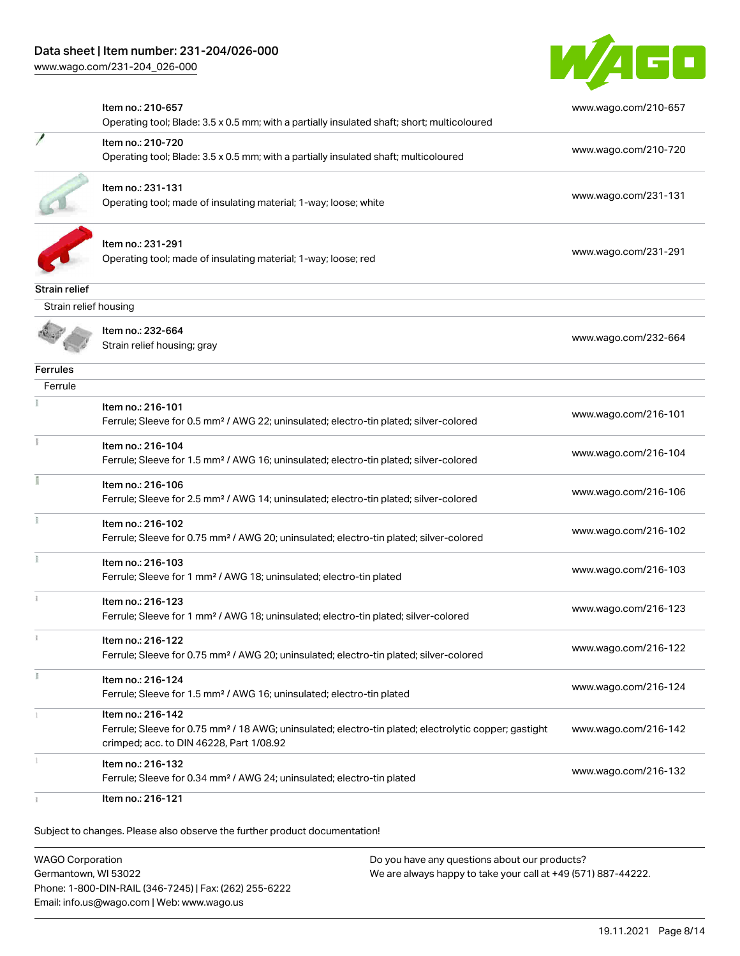

|                       | Item no.: 210-657<br>Operating tool; Blade: 3.5 x 0.5 mm; with a partially insulated shaft; short; multicoloured                                                                   | www.wago.com/210-657 |
|-----------------------|------------------------------------------------------------------------------------------------------------------------------------------------------------------------------------|----------------------|
|                       | Item no.: 210-720<br>Operating tool; Blade: 3.5 x 0.5 mm; with a partially insulated shaft; multicoloured                                                                          | www.wago.com/210-720 |
|                       | Item no.: 231-131<br>Operating tool; made of insulating material; 1-way; loose; white                                                                                              | www.wago.com/231-131 |
|                       | Item no.: 231-291<br>Operating tool; made of insulating material; 1-way; loose; red                                                                                                | www.wago.com/231-291 |
| <b>Strain relief</b>  |                                                                                                                                                                                    |                      |
| Strain relief housing |                                                                                                                                                                                    |                      |
|                       | Item no.: 232-664<br>Strain relief housing; gray                                                                                                                                   | www.wago.com/232-664 |
| <b>Ferrules</b>       |                                                                                                                                                                                    |                      |
| Ferrule               |                                                                                                                                                                                    |                      |
|                       | Item no.: 216-101<br>Ferrule; Sleeve for 0.5 mm <sup>2</sup> / AWG 22; uninsulated; electro-tin plated; silver-colored                                                             | www.wago.com/216-101 |
|                       | Item no.: 216-104<br>Ferrule; Sleeve for 1.5 mm <sup>2</sup> / AWG 16; uninsulated; electro-tin plated; silver-colored                                                             | www.wago.com/216-104 |
|                       | Item no.: 216-106<br>Ferrule; Sleeve for 2.5 mm <sup>2</sup> / AWG 14; uninsulated; electro-tin plated; silver-colored                                                             | www.wago.com/216-106 |
|                       | Item no.: 216-102<br>Ferrule; Sleeve for 0.75 mm <sup>2</sup> / AWG 20; uninsulated; electro-tin plated; silver-colored                                                            | www.wago.com/216-102 |
|                       | Item no.: 216-103<br>Ferrule; Sleeve for 1 mm <sup>2</sup> / AWG 18; uninsulated; electro-tin plated                                                                               | www.wago.com/216-103 |
|                       | Item no.: 216-123<br>Ferrule; Sleeve for 1 mm <sup>2</sup> / AWG 18; uninsulated; electro-tin plated; silver-colored                                                               | www.wago.com/216-123 |
|                       | Item no.: 216-122<br>Ferrule; Sleeve for 0.75 mm <sup>2</sup> / AWG 20; uninsulated; electro-tin plated; silver-colored                                                            | www.wago.com/216-122 |
| J.                    | Item no.: 216-124<br>Ferrule; Sleeve for 1.5 mm <sup>2</sup> / AWG 16; uninsulated; electro-tin plated                                                                             | www.wago.com/216-124 |
|                       | Item no.: 216-142<br>Ferrule; Sleeve for 0.75 mm <sup>2</sup> / 18 AWG; uninsulated; electro-tin plated; electrolytic copper; gastight<br>crimped; acc. to DIN 46228, Part 1/08.92 | www.wago.com/216-142 |
|                       | Item no.: 216-132<br>Ferrule; Sleeve for 0.34 mm <sup>2</sup> / AWG 24; uninsulated; electro-tin plated                                                                            | www.wago.com/216-132 |
|                       | Item no.: 216-121                                                                                                                                                                  |                      |

Subject to changes. Please also observe the further product documentation!

WAGO Corporation Germantown, WI 53022 Phone: 1-800-DIN-RAIL (346-7245) | Fax: (262) 255-6222 Email: info.us@wago.com | Web: www.wago.us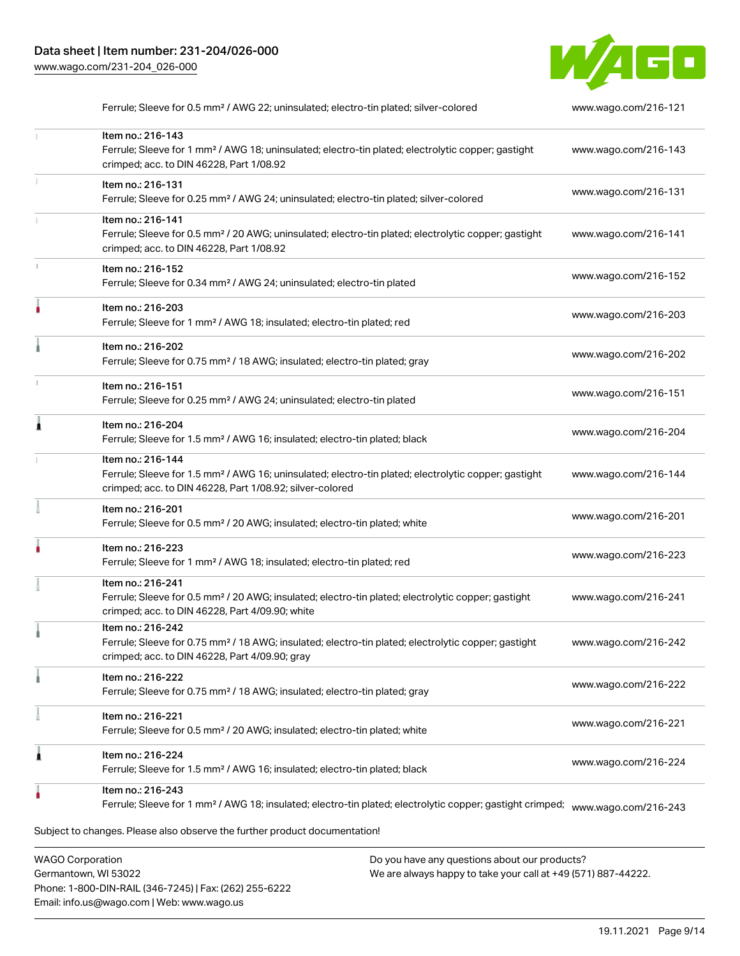

|   | Ferrule; Sleeve for 0.5 mm <sup>2</sup> / AWG 22; uninsulated; electro-tin plated; silver-colored                                                                                                 | www.wago.com/216-121 |
|---|---------------------------------------------------------------------------------------------------------------------------------------------------------------------------------------------------|----------------------|
|   | Item no.: 216-143<br>Ferrule; Sleeve for 1 mm <sup>2</sup> / AWG 18; uninsulated; electro-tin plated; electrolytic copper; gastight<br>crimped; acc. to DIN 46228, Part 1/08.92                   | www.wago.com/216-143 |
|   | Item no.: 216-131<br>Ferrule; Sleeve for 0.25 mm <sup>2</sup> / AWG 24; uninsulated; electro-tin plated; silver-colored                                                                           | www.wago.com/216-131 |
|   | Item no.: 216-141<br>Ferrule; Sleeve for 0.5 mm <sup>2</sup> / 20 AWG; uninsulated; electro-tin plated; electrolytic copper; gastight<br>crimped; acc. to DIN 46228, Part 1/08.92                 | www.wago.com/216-141 |
|   | Item no.: 216-152<br>Ferrule; Sleeve for 0.34 mm <sup>2</sup> / AWG 24; uninsulated; electro-tin plated                                                                                           | www.wago.com/216-152 |
|   | Item no.: 216-203<br>Ferrule; Sleeve for 1 mm <sup>2</sup> / AWG 18; insulated; electro-tin plated; red                                                                                           | www.wago.com/216-203 |
|   | Item no.: 216-202<br>Ferrule; Sleeve for 0.75 mm <sup>2</sup> / 18 AWG; insulated; electro-tin plated; gray                                                                                       | www.wago.com/216-202 |
|   | Item no.: 216-151<br>Ferrule; Sleeve for 0.25 mm <sup>2</sup> / AWG 24; uninsulated; electro-tin plated                                                                                           | www.wago.com/216-151 |
| 0 | Item no.: 216-204<br>Ferrule; Sleeve for 1.5 mm <sup>2</sup> / AWG 16; insulated; electro-tin plated; black                                                                                       | www.wago.com/216-204 |
|   | Item no.: 216-144<br>Ferrule; Sleeve for 1.5 mm <sup>2</sup> / AWG 16; uninsulated; electro-tin plated; electrolytic copper; gastight<br>crimped; acc. to DIN 46228, Part 1/08.92; silver-colored | www.wago.com/216-144 |
|   | Item no.: 216-201<br>Ferrule; Sleeve for 0.5 mm <sup>2</sup> / 20 AWG; insulated; electro-tin plated; white                                                                                       | www.wago.com/216-201 |
|   | Item no.: 216-223<br>Ferrule; Sleeve for 1 mm <sup>2</sup> / AWG 18; insulated; electro-tin plated; red                                                                                           | www.wago.com/216-223 |
|   | Item no.: 216-241<br>Ferrule; Sleeve for 0.5 mm <sup>2</sup> / 20 AWG; insulated; electro-tin plated; electrolytic copper; gastight<br>crimped; acc. to DIN 46228, Part 4/09.90; white            | www.wago.com/216-241 |
|   | Item no.: 216-242<br>Ferrule; Sleeve for 0.75 mm <sup>2</sup> / 18 AWG; insulated; electro-tin plated; electrolytic copper; gastight<br>crimped; acc. to DIN 46228, Part 4/09.90; gray            | www.wago.com/216-242 |
|   | Item no.: 216-222<br>Ferrule; Sleeve for 0.75 mm <sup>2</sup> / 18 AWG; insulated; electro-tin plated; gray                                                                                       | www.wago.com/216-222 |
|   | Item no.: 216-221<br>Ferrule; Sleeve for 0.5 mm <sup>2</sup> / 20 AWG; insulated; electro-tin plated; white                                                                                       | www.wago.com/216-221 |
| 1 | Item no.: 216-224<br>Ferrule; Sleeve for 1.5 mm <sup>2</sup> / AWG 16; insulated; electro-tin plated; black                                                                                       | www.wago.com/216-224 |
|   | Item no.: 216-243<br>Ferrule; Sleeve for 1 mm <sup>2</sup> / AWG 18; insulated; electro-tin plated; electrolytic copper; gastight crimped;                                                        | www.wago.com/216-243 |
|   | Subject to changes. Please also observe the further product documentation!                                                                                                                        |                      |

WAGO Corporation Germantown, WI 53022 Phone: 1-800-DIN-RAIL (346-7245) | Fax: (262) 255-6222 Email: info.us@wago.com | Web: www.wago.us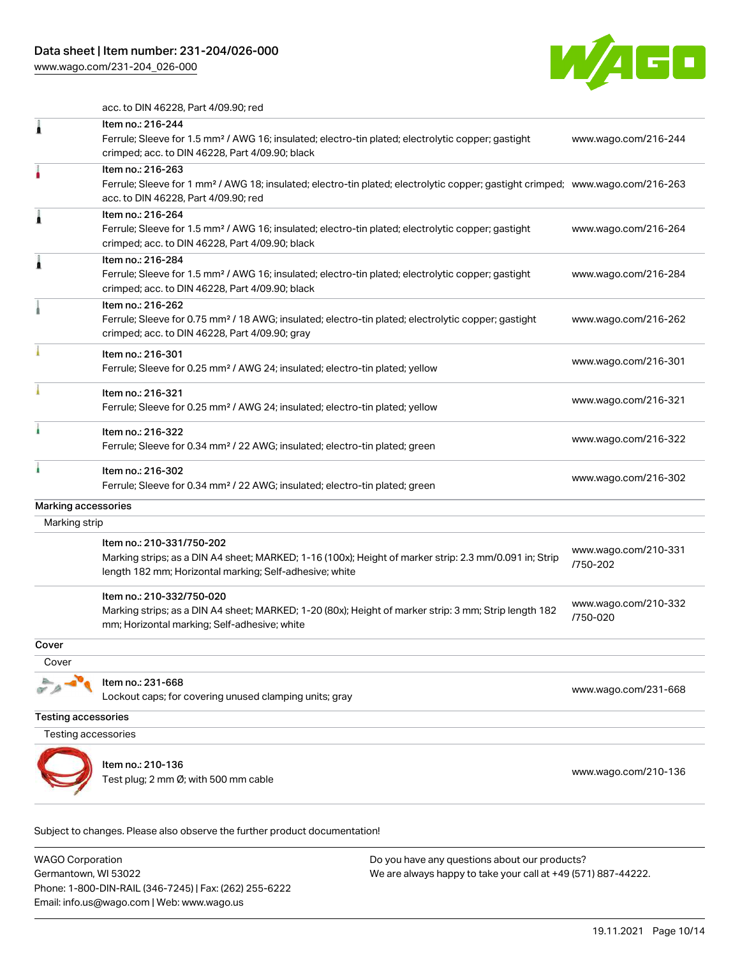

acc. to DIN 46228, Part 4/09.90; red

|                            | Item no.: 210-136<br>Test plug; 2 mm Ø; with 500 mm cable                                                                                                                                               | www.wago.com/210-136             |
|----------------------------|---------------------------------------------------------------------------------------------------------------------------------------------------------------------------------------------------------|----------------------------------|
| Testing accessories        |                                                                                                                                                                                                         |                                  |
| <b>Testing accessories</b> |                                                                                                                                                                                                         |                                  |
|                            | Item no.: 231-668<br>Lockout caps; for covering unused clamping units; gray                                                                                                                             | www.wago.com/231-668             |
| Cover                      |                                                                                                                                                                                                         |                                  |
| Cover                      |                                                                                                                                                                                                         |                                  |
|                            | Item no.: 210-332/750-020<br>Marking strips; as a DIN A4 sheet; MARKED; 1-20 (80x); Height of marker strip: 3 mm; Strip length 182<br>mm; Horizontal marking; Self-adhesive; white                      | www.wago.com/210-332<br>/750-020 |
|                            | Item no.: 210-331/750-202<br>Marking strips; as a DIN A4 sheet; MARKED; 1-16 (100x); Height of marker strip: 2.3 mm/0.091 in; Strip<br>length 182 mm; Horizontal marking; Self-adhesive; white          | www.wago.com/210-331<br>/750-202 |
| Marking strip              |                                                                                                                                                                                                         |                                  |
| Marking accessories        |                                                                                                                                                                                                         |                                  |
|                            | Item no.: 216-302<br>Ferrule; Sleeve for 0.34 mm <sup>2</sup> / 22 AWG; insulated; electro-tin plated; green                                                                                            | www.wago.com/216-302             |
|                            | Item no.: 216-322<br>Ferrule; Sleeve for 0.34 mm <sup>2</sup> / 22 AWG; insulated; electro-tin plated; green                                                                                            | www.wago.com/216-322             |
|                            | Item no.: 216-321<br>Ferrule; Sleeve for 0.25 mm <sup>2</sup> / AWG 24; insulated; electro-tin plated; yellow                                                                                           | www.wago.com/216-321             |
|                            | Item no.: 216-301<br>Ferrule; Sleeve for 0.25 mm <sup>2</sup> / AWG 24; insulated; electro-tin plated; yellow                                                                                           | www.wago.com/216-301             |
|                            | Item no.: 216-262<br>Ferrule; Sleeve for 0.75 mm <sup>2</sup> / 18 AWG; insulated; electro-tin plated; electrolytic copper; gastight<br>crimped; acc. to DIN 46228, Part 4/09.90; gray                  | www.wago.com/216-262             |
|                            | Item no.: 216-284<br>Ferrule; Sleeve for 1.5 mm <sup>2</sup> / AWG 16; insulated; electro-tin plated; electrolytic copper; gastight<br>crimped; acc. to DIN 46228, Part 4/09.90; black                  | www.wago.com/216-284             |
|                            | Item no.: 216-264<br>Ferrule; Sleeve for 1.5 mm <sup>2</sup> / AWG 16; insulated; electro-tin plated; electrolytic copper; gastight<br>crimped; acc. to DIN 46228, Part 4/09.90; black                  | www.wago.com/216-264             |
|                            | Item no.: 216-263<br>Ferrule; Sleeve for 1 mm <sup>2</sup> / AWG 18; insulated; electro-tin plated; electrolytic copper; gastight crimped; www.wago.com/216-263<br>acc. to DIN 46228, Part 4/09.90; red |                                  |
|                            | Item no.: 216-244<br>Ferrule; Sleeve for 1.5 mm <sup>2</sup> / AWG 16; insulated; electro-tin plated; electrolytic copper; gastight<br>crimped; acc. to DIN 46228, Part 4/09.90; black                  | www.wago.com/216-244             |

WAGO Corporation Germantown, WI 53022 Phone: 1-800-DIN-RAIL (346-7245) | Fax: (262) 255-6222 Email: info.us@wago.com | Web: www.wago.us Do you have any questions about our products? We are always happy to take your call at +49 (571) 887-44222.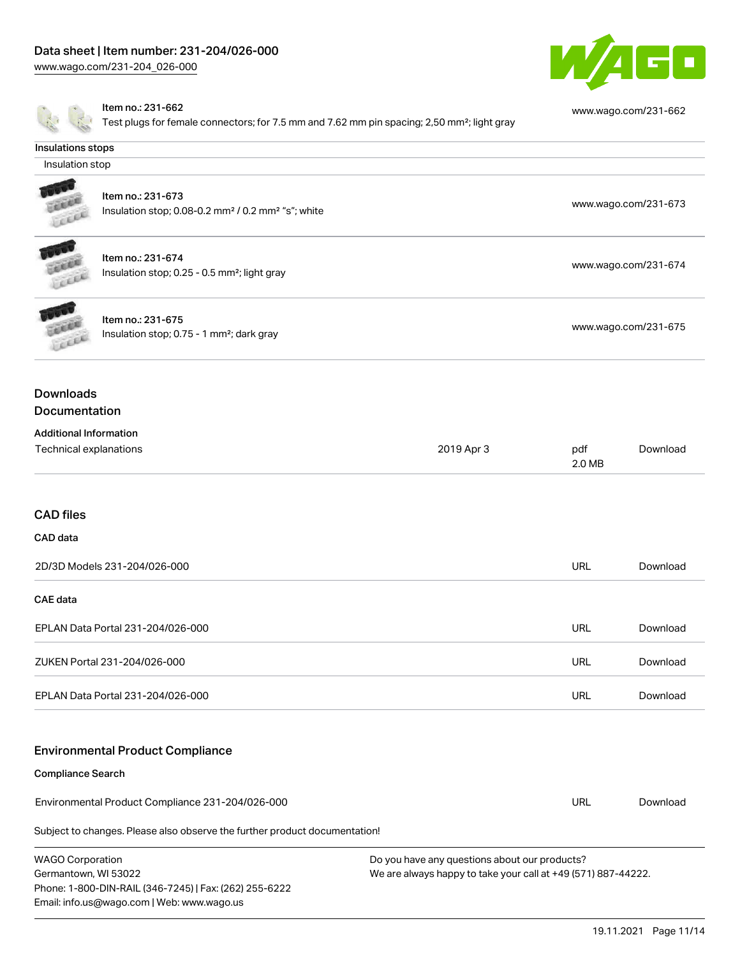Email: info.us@wago.com | Web: www.wago.us

[www.wago.com/231-204\\_026-000](http://www.wago.com/231-204_026-000)



|                                                 | Item no.: 231-662<br>Test plugs for female connectors; for 7.5 mm and 7.62 mm pin spacing; 2,50 mm <sup>2</sup> ; light gray |                                                                                                                |                      | www.wago.com/231-662 |
|-------------------------------------------------|------------------------------------------------------------------------------------------------------------------------------|----------------------------------------------------------------------------------------------------------------|----------------------|----------------------|
| Insulations stops                               |                                                                                                                              |                                                                                                                |                      |                      |
| Insulation stop                                 |                                                                                                                              |                                                                                                                |                      |                      |
| LEEL                                            | Item no.: 231-673<br>Insulation stop; 0.08-0.2 mm <sup>2</sup> / 0.2 mm <sup>2</sup> "s"; white                              |                                                                                                                | www.wago.com/231-673 |                      |
|                                                 | Item no.: 231-674<br>Insulation stop; 0.25 - 0.5 mm <sup>2</sup> ; light gray                                                |                                                                                                                |                      | www.wago.com/231-674 |
|                                                 | Item no.: 231-675<br>Insulation stop; 0.75 - 1 mm <sup>2</sup> ; dark gray                                                   |                                                                                                                |                      | www.wago.com/231-675 |
| <b>Downloads</b><br>Documentation               |                                                                                                                              |                                                                                                                |                      |                      |
| <b>Additional Information</b>                   | Technical explanations                                                                                                       | 2019 Apr 3                                                                                                     | pdf<br>2.0 MB        | Download             |
| <b>CAD files</b>                                |                                                                                                                              |                                                                                                                |                      |                      |
| CAD data                                        |                                                                                                                              |                                                                                                                |                      |                      |
|                                                 | 2D/3D Models 231-204/026-000                                                                                                 |                                                                                                                | <b>URL</b>           | Download             |
| <b>CAE</b> data                                 |                                                                                                                              |                                                                                                                |                      |                      |
|                                                 | EPLAN Data Portal 231-204/026-000                                                                                            |                                                                                                                | <b>URL</b>           | Download             |
|                                                 | ZUKEN Portal 231-204/026-000                                                                                                 |                                                                                                                | URL                  | Download             |
|                                                 | EPLAN Data Portal 231-204/026-000                                                                                            |                                                                                                                | <b>URL</b>           | Download             |
|                                                 | <b>Environmental Product Compliance</b>                                                                                      |                                                                                                                |                      |                      |
| <b>Compliance Search</b>                        |                                                                                                                              |                                                                                                                |                      |                      |
|                                                 | Environmental Product Compliance 231-204/026-000                                                                             |                                                                                                                | URL                  | Download             |
|                                                 | Subject to changes. Please also observe the further product documentation!                                                   |                                                                                                                |                      |                      |
| <b>WAGO Corporation</b><br>Germantown, WI 53022 | Phone: 1-800-DIN-RAIL (346-7245)   Fax: (262) 255-6222                                                                       | Do you have any questions about our products?<br>We are always happy to take your call at +49 (571) 887-44222. |                      |                      |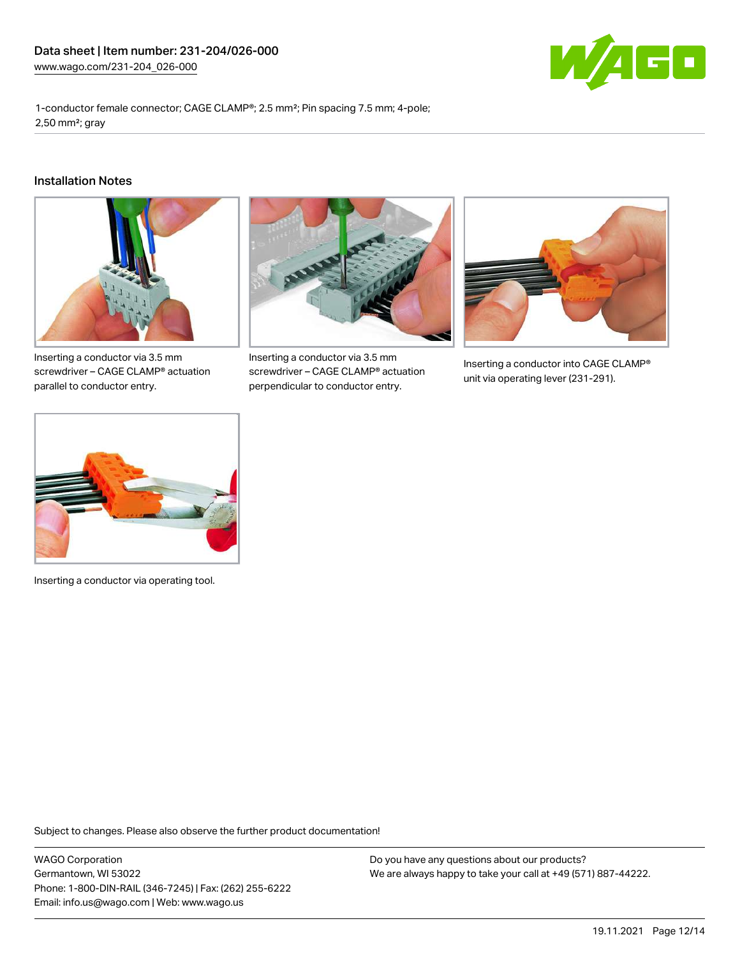

1-conductor female connector; CAGE CLAMP®; 2.5 mm²; Pin spacing 7.5 mm; 4-pole; 2,50 mm²; gray

#### Installation Notes



Inserting a conductor via 3.5 mm screwdriver – CAGE CLAMP® actuation parallel to conductor entry.



Inserting a conductor via 3.5 mm screwdriver – CAGE CLAMP® actuation perpendicular to conductor entry.



Inserting a conductor into CAGE CLAMP® unit via operating lever (231-291).



Inserting a conductor via operating tool.

Subject to changes. Please also observe the further product documentation!

WAGO Corporation Germantown, WI 53022 Phone: 1-800-DIN-RAIL (346-7245) | Fax: (262) 255-6222 Email: info.us@wago.com | Web: www.wago.us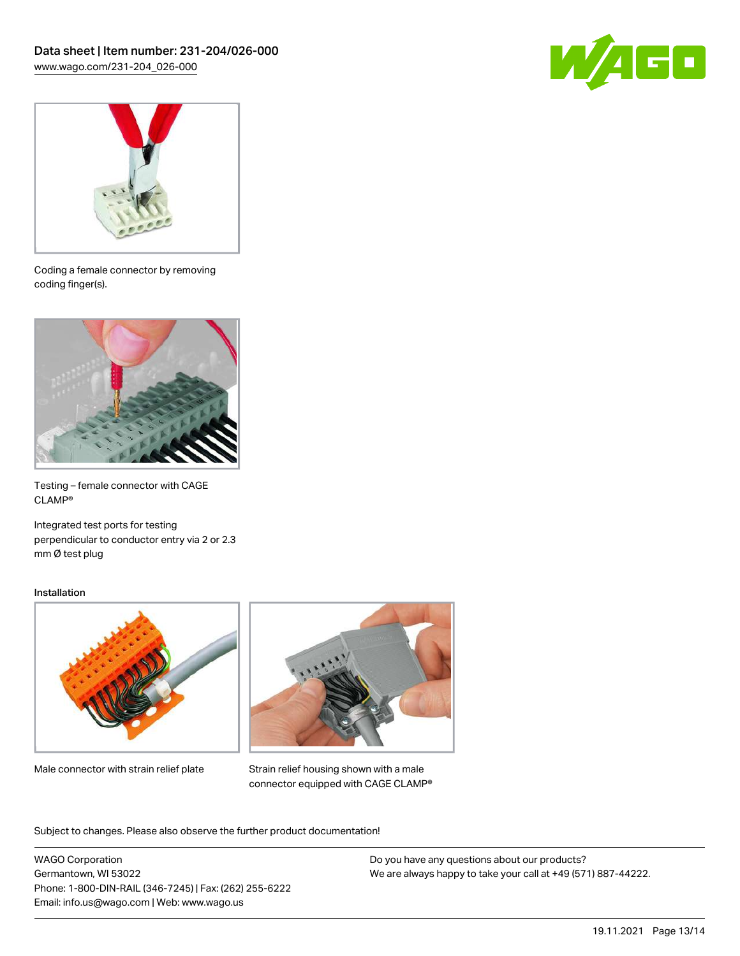



Coding a female connector by removing coding finger(s).



Testing – female connector with CAGE CLAMP®

Integrated test ports for testing perpendicular to conductor entry via 2 or 2.3 mm Ø test plug

#### Installation



Male connector with strain relief plate



Strain relief housing shown with a male connector equipped with CAGE CLAMP®

Subject to changes. Please also observe the further product documentation!

WAGO Corporation Germantown, WI 53022 Phone: 1-800-DIN-RAIL (346-7245) | Fax: (262) 255-6222 Email: info.us@wago.com | Web: www.wago.us